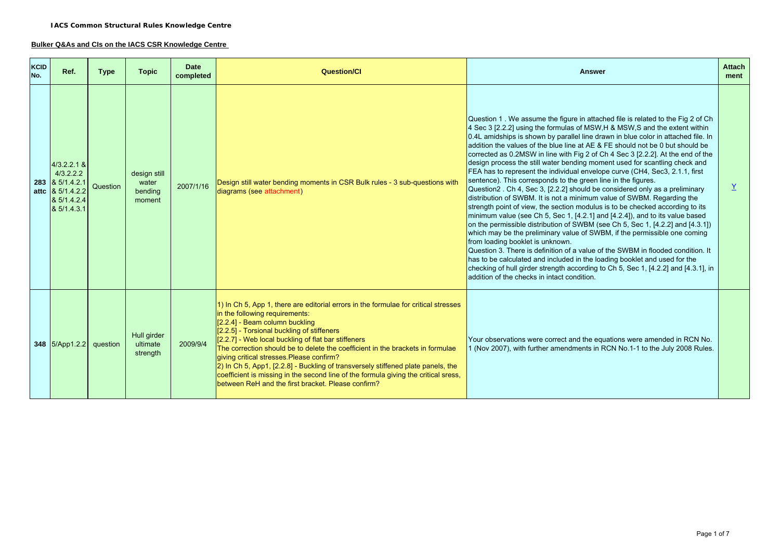#### **Bulker Q&As and CIs on the IACS CSR Knowledge Centre**

| <b>KCID</b><br>No. | Ref.                                                                                                        | <b>Type</b> | <b>Topic</b>                               | <b>Date</b><br>completed | <b>Question/Cl</b>                                                                                                                                                                                                                                                                                                                                                                                                                                                                                                                                                                                                           | <b>Answer</b>                                                                                                                                                                                                                                                                                                                                                                                                                                                                                                                                                                                                                                                                                                                                                                                                                                                                                                                                                                                                                                                                                                                                                                                                                                                                                                                                                                                                                                                                            | <b>Attach</b><br>ment |
|--------------------|-------------------------------------------------------------------------------------------------------------|-------------|--------------------------------------------|--------------------------|------------------------------------------------------------------------------------------------------------------------------------------------------------------------------------------------------------------------------------------------------------------------------------------------------------------------------------------------------------------------------------------------------------------------------------------------------------------------------------------------------------------------------------------------------------------------------------------------------------------------------|------------------------------------------------------------------------------------------------------------------------------------------------------------------------------------------------------------------------------------------------------------------------------------------------------------------------------------------------------------------------------------------------------------------------------------------------------------------------------------------------------------------------------------------------------------------------------------------------------------------------------------------------------------------------------------------------------------------------------------------------------------------------------------------------------------------------------------------------------------------------------------------------------------------------------------------------------------------------------------------------------------------------------------------------------------------------------------------------------------------------------------------------------------------------------------------------------------------------------------------------------------------------------------------------------------------------------------------------------------------------------------------------------------------------------------------------------------------------------------------|-----------------------|
|                    | $4/3.2.2.1$ &<br>4/3.2.2.2<br>283 & 5/1.4.2.1<br>attc $\frac{8}{5}$ 5/1.4.2.2<br>& 5/1.4.2.4<br>& 5/1.4.3.1 | Question    | design still<br>water<br>bending<br>moment | 2007/1/16                | Design still water bending moments in CSR Bulk rules - 3 sub-questions with<br>diagrams (see attachment)                                                                                                                                                                                                                                                                                                                                                                                                                                                                                                                     | Question 1. We assume the figure in attached file is related to the Fig 2 of Ch<br>4 Sec 3 [2.2.2] using the formulas of MSW, H & MSW, S and the extent within<br>0.4L amidships is shown by parallel line drawn in blue color in attached file. In<br>addition the values of the blue line at AE & FE should not be 0 but should be<br>corrected as 0.2MSW in line with Fig 2 of Ch 4 Sec 3 [2.2.2]. At the end of the<br>design process the still water bending moment used for scantling check and<br>FEA has to represent the individual envelope curve (CH4, Sec3, 2.1.1, first<br>sentence). This corresponds to the green line in the figures.<br>Question2. Ch 4, Sec 3, [2.2.2] should be considered only as a preliminary<br>distribution of SWBM. It is not a minimum value of SWBM. Regarding the<br>strength point of view, the section modulus is to be checked according to its<br>$minimum$ value (see Ch 5, Sec 1, [4.2.1] and [4.2.4]), and to its value based<br>on the permissible distribution of SWBM (see Ch 5, Sec 1, [4.2.2] and [4.3.1])<br>which may be the preliminary value of SWBM, if the permissible one coming<br>from loading booklet is unknown.<br>Question 3. There is definition of a value of the SWBM in flooded condition. It<br>has to be calculated and included in the loading booklet and used for the<br>checking of hull girder strength according to Ch 5, Sec 1, [4.2.2] and [4.3.1], in<br>addition of the checks in intact condition. | $\underline{Y}$       |
|                    | 348 5/App1.2.2                                                                                              | question    | Hull girder<br>ultimate<br>strength        | 2009/9/4                 | 1) In Ch 5, App 1, there are editorial errors in the formulae for critical stresses<br>in the following requirements:<br>[2.2.4] - Beam column buckling<br>[2.2.5] - Torsional buckling of stiffeners<br>[2.2.7] - Web local buckling of flat bar stiffeners<br>The correction should be to delete the coefficient in the brackets in formulae<br>qiving critical stresses. Please confirm?<br>2) In Ch 5, App1, [2.2.8] - Buckling of transversely stiffened plate panels, the<br>coefficient is missing in the second line of the formula giving the critical sress,<br>between ReH and the first bracket. Please confirm? | Your observations were correct and the equations were amended in RCN No.<br>1 (Nov 2007), with further amendments in RCN No.1-1 to the July 2008 Rules.                                                                                                                                                                                                                                                                                                                                                                                                                                                                                                                                                                                                                                                                                                                                                                                                                                                                                                                                                                                                                                                                                                                                                                                                                                                                                                                                  |                       |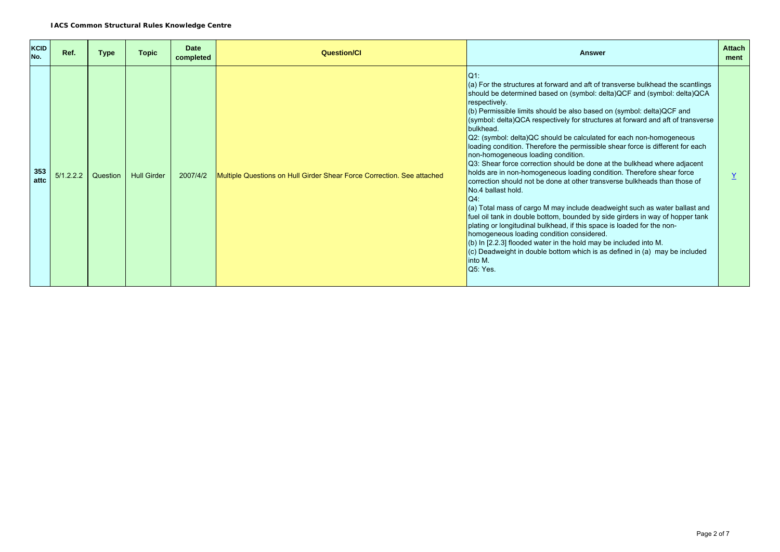| <b>KCID</b><br>No. | Ref.      | <b>Type</b> | <b>Topic</b>       | <b>Date</b><br>completed | <b>Question/CI</b>                                                     | <b>Answer</b>                                                                                                                                                                                                                                                                                                                                                                                                                                                                                                                                                                                                                                                                                                                                                                                                                                                                                                                                                                                                                                                                                                                                                                                                                                                                                           | <b>Attach</b><br>ment |
|--------------------|-----------|-------------|--------------------|--------------------------|------------------------------------------------------------------------|---------------------------------------------------------------------------------------------------------------------------------------------------------------------------------------------------------------------------------------------------------------------------------------------------------------------------------------------------------------------------------------------------------------------------------------------------------------------------------------------------------------------------------------------------------------------------------------------------------------------------------------------------------------------------------------------------------------------------------------------------------------------------------------------------------------------------------------------------------------------------------------------------------------------------------------------------------------------------------------------------------------------------------------------------------------------------------------------------------------------------------------------------------------------------------------------------------------------------------------------------------------------------------------------------------|-----------------------|
| 353<br>attc        | 5/1.2.2.2 | Question    | <b>Hull Girder</b> | 2007/4/2                 | Multiple Questions on Hull Girder Shear Force Correction. See attached | Q1:<br>(a) For the structures at forward and aft of transverse bulkhead the scantlings<br>should be determined based on (symbol: delta) QCF and (symbol: delta) QCA<br>respectively.<br>(b) Permissible limits should be also based on (symbol: delta) QCF and<br>(symbol: delta)QCA respectively for structures at forward and aft of transverse<br>bulkhead.<br>Q2: (symbol: delta)QC should be calculated for each non-homogeneous<br>loading condition. Therefore the permissible shear force is different for each<br>non-homogeneous loading condition.<br>Q3: Shear force correction should be done at the bulkhead where adjacent<br>holds are in non-homogeneous loading condition. Therefore shear force<br>correction should not be done at other transverse bulkheads than those of<br><b>No.4 ballast hold.</b><br>$Q4$ :<br>(a) Total mass of cargo M may include deadweight such as water ballast and<br>fuel oil tank in double bottom, bounded by side girders in way of hopper tank<br>plating or longitudinal bulkhead, if this space is loaded for the non-<br>homogeneous loading condition considered.<br>(b) In [2.2.3] flooded water in the hold may be included into M.<br>$(c)$ Deadweight in double bottom which is as defined in (a) may be included<br>into M.<br>Q5: Yes. |                       |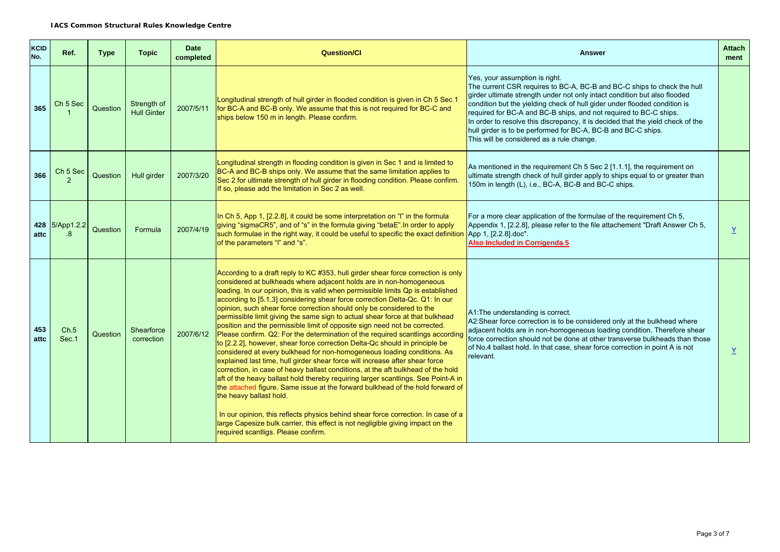| KCID<br>No. | Ref.                                 | <b>Type</b> | <b>Topic</b>                      | <b>Date</b><br>completed | <b>Question/Cl</b>                                                                                                                                                                                                                                                                                                                                                                                                                                                                                                                                                                                                                                                                                                                                                                                                                                                                                                                                                                                                                                                                                                                                                                                                                                                                                                                                                                                    | <b>Answer</b>                                                                                                                                                                                                                                                                                                                                                                                                                                                                                                                             | <b>Attach</b><br>ment |
|-------------|--------------------------------------|-------------|-----------------------------------|--------------------------|-------------------------------------------------------------------------------------------------------------------------------------------------------------------------------------------------------------------------------------------------------------------------------------------------------------------------------------------------------------------------------------------------------------------------------------------------------------------------------------------------------------------------------------------------------------------------------------------------------------------------------------------------------------------------------------------------------------------------------------------------------------------------------------------------------------------------------------------------------------------------------------------------------------------------------------------------------------------------------------------------------------------------------------------------------------------------------------------------------------------------------------------------------------------------------------------------------------------------------------------------------------------------------------------------------------------------------------------------------------------------------------------------------|-------------------------------------------------------------------------------------------------------------------------------------------------------------------------------------------------------------------------------------------------------------------------------------------------------------------------------------------------------------------------------------------------------------------------------------------------------------------------------------------------------------------------------------------|-----------------------|
| 365         | Ch <sub>5</sub> Sec                  | Question    | Strength of<br><b>Hull Girder</b> | 2007/5/11                | Longitudinal strength of hull girder in flooded condition is given in Ch 5 Sec 1<br>for BC-A and BC-B only. We assume that this is not required for BC-C and<br>ships below 150 m in length. Please confirm.                                                                                                                                                                                                                                                                                                                                                                                                                                                                                                                                                                                                                                                                                                                                                                                                                                                                                                                                                                                                                                                                                                                                                                                          | Yes, your assumption is right.<br>The current CSR requires to BC-A, BC-B and BC-C ships to check the hull<br>girder ultimate strength under not only intact condition but also flooded<br>condition but the yielding check of hull gider under flooded condition is<br>required for BC-A and BC-B ships, and not required to BC-C ships.<br>In order to resolve this discrepancy, it is decided that the yield check of the<br>hull girder is to be performed for BC-A, BC-B and BC-C ships.<br>This will be considered as a rule change. |                       |
| 366         | Ch <sub>5</sub> Sec<br>$\mathcal{P}$ | Question    | Hull girder                       | 2007/3/20                | Longitudinal strength in flooding condition is given in Sec 1 and is limited to<br>BC-A and BC-B ships only. We assume that the same limitation applies to<br>Sec 2 for ultimate strength of hull girder in flooding condition. Please confirm.<br>If so, please add the limitation in Sec 2 as well.                                                                                                                                                                                                                                                                                                                                                                                                                                                                                                                                                                                                                                                                                                                                                                                                                                                                                                                                                                                                                                                                                                 | As mentioned in the requirement Ch 5 Sec 2 [1.1.1], the requirement on<br>ultimate strength check of hull girder apply to ships equal to or greater than<br>150m in length (L), i.e., BC-A, BC-B and BC-C ships.                                                                                                                                                                                                                                                                                                                          |                       |
| attc        | 428 5/App1.2.2<br>$\cdot$ 8          | Question    | Formula                           | 2007/4/19                | In Ch 5, App 1, [2.2.8], it could be some interpretation on "I" in the formula<br>giving "sigmaCR5", and of "s" in the formula giving "betaE". In order to apply<br>such formulae in the right way, it could be useful to specific the exact definition<br>of the parameters "I" and "s".                                                                                                                                                                                                                                                                                                                                                                                                                                                                                                                                                                                                                                                                                                                                                                                                                                                                                                                                                                                                                                                                                                             | For a more clear application of the formulae of the requirement Ch 5,<br>Appendix 1, [2.2.8], please refer to the file attachement "Draft Answer Ch 5,<br>App 1, [2.2.8] doc".<br>Also Included in Corrigenda 5                                                                                                                                                                                                                                                                                                                           | $\underline{Y}$       |
| 453<br>attc | Ch.5<br>Sec.1                        | Question    | Shearforce<br>correction          | 2007/6/12                | According to a draft reply to KC #353, hull girder shear force correction is only<br>considered at bulkheads where adjacent holds are in non-homogeneous<br>loading. In our opinion, this is valid when permissible limits Qp is established<br>according to [5.1.3] considering shear force correction Delta-Qc. Q1: In our<br>opinion, such shear force correction should only be considered to the<br>permissible limit giving the same sign to actual shear force at that bulkhead<br>position and the permissible limit of opposite sign need not be corrected.<br>Please confirm. Q2: For the determination of the required scantlings according<br>to [2.2.2], however, shear force correction Delta-Qc should in principle be<br>considered at every bulkhead for non-homogeneous loading conditions. As<br>explained last time, hull girder shear force will increase after shear force<br>correction, in case of heavy ballast conditions, at the aft bulkhead of the hold<br>aft of the heavy ballast hold thereby requiring larger scantlings. See Point-A in<br>the attached figure. Same issue at the forward bulkhead of the hold forward of<br>the heavy ballast hold.<br>In our opinion, this reflects physics behind shear force correction. In case of a<br>large Capesize bulk carrier, this effect is not negligible giving impact on the<br>required scantligs. Please confirm. | A1: The understanding is correct.<br>A2:Shear force correction is to be considered only at the bulkhead where<br>adjacent holds are in non-homogeneous loading condition. Therefore shear<br>force correction should not be done at other transverse bulkheads than those<br>of No.4 ballast hold. In that case, shear force correction in point A is not<br>relevant.                                                                                                                                                                    | $\underline{Y}$       |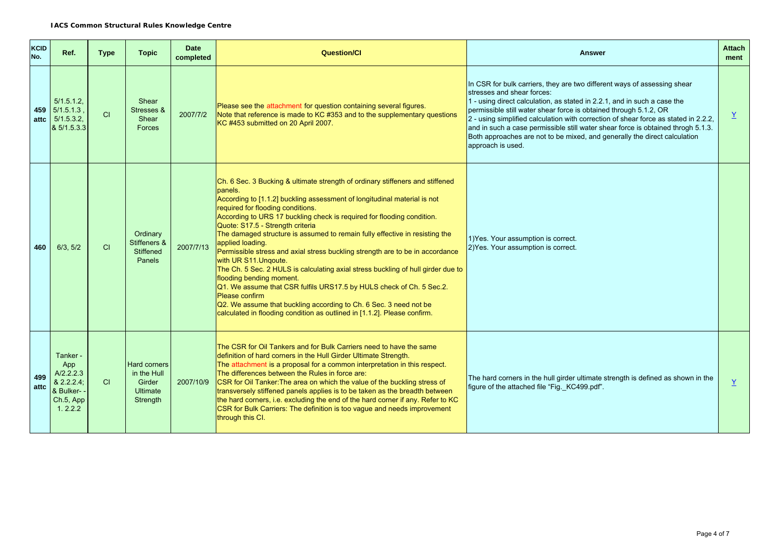| <b>KCID</b><br>No. | Ref.                                                                                | <b>Type</b> | <b>Topic</b>                                                                | <b>Date</b><br>completed | <b>Question/Cl</b>                                                                                                                                                                                                                                                                                                                                                                                                                                                                                                                                                                                                                                                                                                                                                                                                                                                                              | <b>Answer</b>                                                                                                                     | <b>Attach</b><br>ment |
|--------------------|-------------------------------------------------------------------------------------|-------------|-----------------------------------------------------------------------------|--------------------------|-------------------------------------------------------------------------------------------------------------------------------------------------------------------------------------------------------------------------------------------------------------------------------------------------------------------------------------------------------------------------------------------------------------------------------------------------------------------------------------------------------------------------------------------------------------------------------------------------------------------------------------------------------------------------------------------------------------------------------------------------------------------------------------------------------------------------------------------------------------------------------------------------|-----------------------------------------------------------------------------------------------------------------------------------|-----------------------|
| attc               | 5/1.5.1.2<br>459 5/1.5.1.3<br>5/1.5.3.2,<br>& 5/1.5.3.3                             | CI          | Shear<br>Stresses &<br>Shear<br>Forces                                      | 2007/7/2                 | In CSR for bulk carriers, they are two different ways of assessing shear<br>stresses and shear forces:<br>1 - using direct calculation, as stated in 2.2.1, and in such a case the<br>Please see the attachment for question containing several figures.<br>permissible still water shear force is obtained through 5.1.2, OR<br>Note that reference is made to KC #353 and to the supplementary questions<br>2 - using simplified calculation with correction of shear force as stated in 2.2.2,<br>KC#453 submitted on 20 April 2007.<br>and in such a case permissible still water shear force is obtained throgh 5.1.3.<br>Both approaches are not to be mixed, and generally the direct calculation<br>approach is used.                                                                                                                                                                   |                                                                                                                                   | $\underline{Y}$       |
| 460                | 6/3, 5/2                                                                            | CI          | Ordinary<br>Stiffeners &<br>Stiffened<br>Panels                             | 2007/7/13                | Ch. 6 Sec. 3 Bucking & ultimate strength of ordinary stiffeners and stiffened<br>panels.<br>According to [1.1.2] buckling assessment of longitudinal material is not<br>required for flooding conditions.<br>According to URS 17 buckling check is required for flooding condition.<br>Quote: S17.5 - Strength criteria<br>The damaged structure is assumed to remain fully effective in resisting the<br>applied loading.<br>Permissible stress and axial stress buckling strength are to be in accordance<br>with UR S11. Ungoute.<br>The Ch. 5 Sec. 2 HULS is calculating axial stress buckling of hull girder due to<br>flooding bending moment.<br>Q1. We assume that CSR fulfils URS17.5 by HULS check of Ch. 5 Sec.2.<br>Please confirm<br>Q2. We assume that buckling according to Ch. 6 Sec. 3 need not be<br>calculated in flooding condition as outlined in [1.1.2]. Please confirm. | 1) Yes. Your assumption is correct.<br>2) Yes. Your assumption is correct.                                                        |                       |
| 499<br>attc        | Tanker -<br>App<br>A/2.2.2.3<br>$82.2.2.4$ ;<br>& Bulker- -<br>Ch.5, App<br>1.2.2.2 | CI          | <b>Hard corners</b><br>in the Hull<br>Girder<br><b>Ultimate</b><br>Strength | 2007/10/9                | The CSR for Oil Tankers and for Bulk Carriers need to have the same<br>definition of hard corners in the Hull Girder Ultimate Strength.<br>The attachment is a proposal for a common interpretation in this respect.<br>The differences between the Rules in force are:<br>CSR for Oil Tanker: The area on which the value of the buckling stress of<br>transversely stiffened panels applies is to be taken as the breadth between<br>the hard corners, i.e. excluding the end of the hard corner if any. Refer to KC<br>CSR for Bulk Carriers: The definition is too vague and needs improvement<br>through this CI.                                                                                                                                                                                                                                                                          | The hard corners in the hull girder ultimate strength is defined as shown in the<br>figure of the attached file "Fig. KC499.pdf". | $\underline{Y}$       |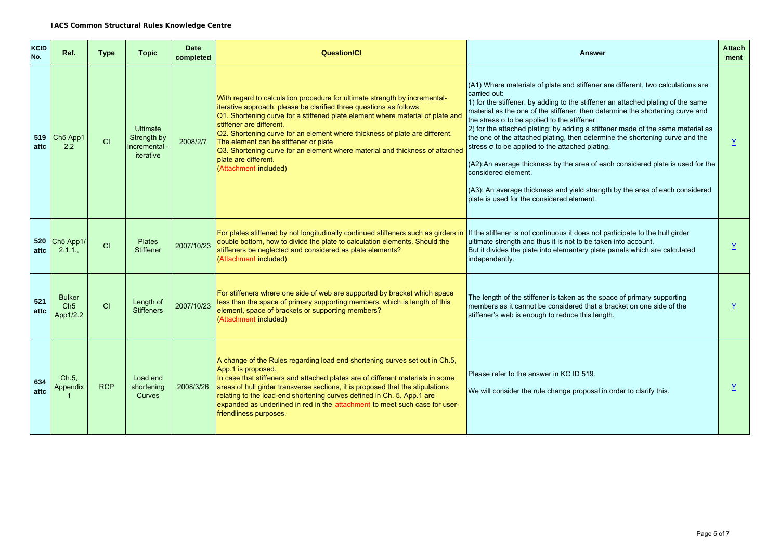| <b>KCID</b><br>No. | Ref.                                         | <b>Type</b> | <b>Topic</b>                                               | <b>Date</b><br>completed | <b>Question/Cl</b>                                                                                                                                                                                                                                                                                                                                                                                                                                                                                                        | <b>Answer</b>                                                                                                                                                                                                                                                                                                                                                                                                                                                                                                                                                                                                                                                                                                                                                                           | <b>Attach</b><br>ment |
|--------------------|----------------------------------------------|-------------|------------------------------------------------------------|--------------------------|---------------------------------------------------------------------------------------------------------------------------------------------------------------------------------------------------------------------------------------------------------------------------------------------------------------------------------------------------------------------------------------------------------------------------------------------------------------------------------------------------------------------------|-----------------------------------------------------------------------------------------------------------------------------------------------------------------------------------------------------------------------------------------------------------------------------------------------------------------------------------------------------------------------------------------------------------------------------------------------------------------------------------------------------------------------------------------------------------------------------------------------------------------------------------------------------------------------------------------------------------------------------------------------------------------------------------------|-----------------------|
| 519<br>attc        | Ch <sub>5</sub> App1<br>2.2                  | CI          | <b>Ultimate</b><br>Strength by<br>Incremental<br>iterative | 2008/2/7                 | With regard to calculation procedure for ultimate strength by incremental-<br>iterative approach, please be clarified three questions as follows.<br>Q1. Shortening curve for a stiffened plate element where material of plate and<br>stiffener are different.<br>Q2. Shortening curve for an element where thickness of plate are different.<br>The element can be stiffener or plate.<br>Q3. Shortening curve for an element where material and thickness of attached<br>plate are different.<br>(Attachment included) | (A1) Where materials of plate and stiffener are different, two calculations are<br>carried out:<br>1) for the stiffener: by adding to the stiffener an attached plating of the same<br>material as the one of the stiffener, then determine the shortening curve and<br>the stress $\sigma$ to be applied to the stiffener.<br>2) for the attached plating: by adding a stiffener made of the same material as<br>the one of the attached plating, then determine the shortening curve and the<br>stress o to be applied to the attached plating.<br>(A2):An average thickness by the area of each considered plate is used for the<br>considered element.<br>(A3): An average thickness and yield strength by the area of each considered<br>plate is used for the considered element. | Y                     |
| attc               | 520 Ch5 App1/<br>2.1.1.                      | CI          | <b>Plates</b><br><b>Stiffener</b>                          | 2007/10/23               | For plates stiffened by not longitudinally continued stiffeners such as girders in<br>double bottom, how to divide the plate to calculation elements. Should the<br>stiffeners be neglected and considered as plate elements?<br>(Attachment included)                                                                                                                                                                                                                                                                    | If the stiffener is not continuous it does not participate to the hull girder<br>ultimate strength and thus it is not to be taken into account.<br>But it divides the plate into elementary plate panels which are calculated<br>independently.                                                                                                                                                                                                                                                                                                                                                                                                                                                                                                                                         | $\underline{Y}$       |
| 521<br>attc        | <b>Bulker</b><br>Ch <sub>5</sub><br>App1/2.2 | CI          | Length of<br><b>Stiffeners</b>                             | 2007/10/23               | For stiffeners where one side of web are supported by bracket which space<br>less than the space of primary supporting members, which is length of this<br>element, space of brackets or supporting members?<br>(Attachment included)                                                                                                                                                                                                                                                                                     | The length of the stiffener is taken as the space of primary supporting<br>members as it cannot be considered that a bracket on one side of the<br>stiffener's web is enough to reduce this length.                                                                                                                                                                                                                                                                                                                                                                                                                                                                                                                                                                                     | Y                     |
| 634<br>attc        | Ch.5,<br>Appendix                            | <b>RCP</b>  | Load end<br>shortening<br>Curves                           | 2008/3/26                | A change of the Rules regarding load end shortening curves set out in Ch.5,<br>App.1 is proposed.<br>In case that stiffeners and attached plates are of different materials in some<br>areas of hull girder transverse sections, it is proposed that the stipulations<br>relating to the load-end shortening curves defined in Ch. 5, App.1 are<br>expanded as underlined in red in the attachment to meet such case for user-<br>friendliness purposes.                                                                  | Please refer to the answer in KC ID 519.<br>We will consider the rule change proposal in order to clarify this.                                                                                                                                                                                                                                                                                                                                                                                                                                                                                                                                                                                                                                                                         | Y                     |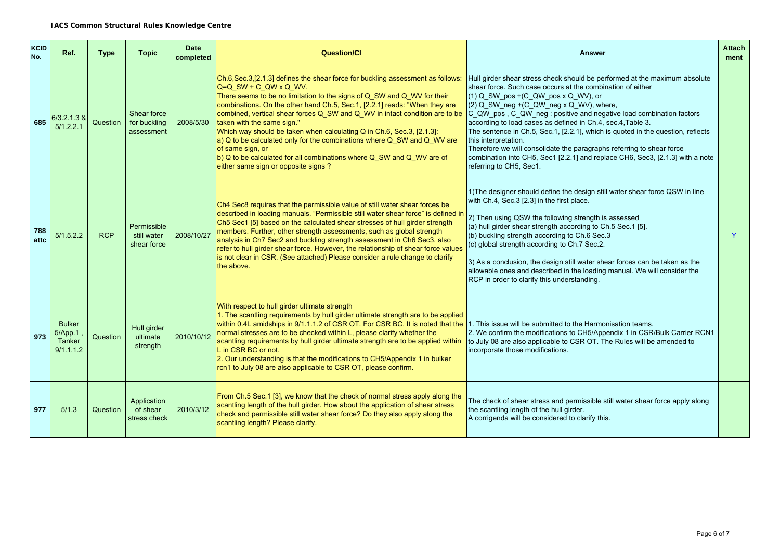| KCID<br>No. | Ref.                                            | <b>Type</b> | <b>Topic</b>                              | <b>Date</b><br>completed | <b>Question/CI</b>                                                                                                                                                                                                                                                                                                                                                                                                                                                                                                                                                                                                                                                               | <b>Answer</b>                                                                                                                                                                                                                                                                                                                                                                                                                                                                                                                                                                                                                                                     | Attach<br>ment |
|-------------|-------------------------------------------------|-------------|-------------------------------------------|--------------------------|----------------------------------------------------------------------------------------------------------------------------------------------------------------------------------------------------------------------------------------------------------------------------------------------------------------------------------------------------------------------------------------------------------------------------------------------------------------------------------------------------------------------------------------------------------------------------------------------------------------------------------------------------------------------------------|-------------------------------------------------------------------------------------------------------------------------------------------------------------------------------------------------------------------------------------------------------------------------------------------------------------------------------------------------------------------------------------------------------------------------------------------------------------------------------------------------------------------------------------------------------------------------------------------------------------------------------------------------------------------|----------------|
| 685         | $6/3.2.1.3$ &<br>5/1.2.2.1                      | Question    | Shear force<br>for buckling<br>assessment | 2008/5/30                | Ch.6, Sec.3, [2.1.3] defines the shear force for buckling assessment as follows:<br>Q=Q_SW + C_QW x Q_WV.<br>There seems to be no limitation to the signs of Q_SW and Q_WV for their<br>combinations. On the other hand Ch.5, Sec.1, [2.2.1] reads: "When they are<br>combined, vertical shear forces Q_SW and Q_WV in intact condition are to be<br>taken with the same sign."<br>Which way should be taken when calculating Q in Ch.6, Sec.3, [2.1.3]:<br>$ a\rangle$ Q to be calculated only for the combinations where Q SW and Q WV are<br>of same sign, or<br>b) Q to be calculated for all combinations where Q_SW and Q_WV are of<br>either same sign or opposite signs? | Hull girder shear stress check should be performed at the maximum absolute<br>shear force. Such case occurs at the combination of either<br>$(1)$ Q SW pos +(C QW pos x Q WV), or<br>(2) Q_SW_neg +(C_QW_neg x Q_WV), where,<br>C_QW_pos, C_QW_neg: positive and negative load combination factors<br>according to load cases as defined in Ch.4, sec.4, Table 3.<br>The sentence in Ch.5, Sec.1, [2.2.1], which is quoted in the question, reflects<br>this interpretation.<br>Therefore we will consolidate the paragraphs referring to shear force<br>combination into CH5, Sec1 [2.2.1] and replace CH6, Sec3, [2.1.3] with a note<br>referring to CH5, Sec1. |                |
| 788<br>attc | 5/1.5.2.2                                       | <b>RCP</b>  | Permissible<br>still water<br>shear force | 2008/10/27               | Ch4 Sec8 requires that the permissible value of still water shear forces be<br>described in loading manuals. "Permissible still water shear force" is defined in<br>Ch5 Sec1 [5] based on the calculated shear stresses of hull girder strength<br>members. Further, other strength assessments, such as global strength<br>analysis in Ch7 Sec2 and buckling strength assessment in Ch6 Sec3, also<br>refer to hull girder shear force. However, the relationship of shear force values<br>is not clear in CSR. (See attached) Please consider a rule change to clarify<br>the above.                                                                                           | 1) The designer should define the design still water shear force QSW in line<br>with Ch.4, Sec.3 [2.3] in the first place.<br>2) Then using QSW the following strength is assessed<br>(a) hull girder shear strength according to Ch.5 Sec.1 [5].<br>(b) buckling strength according to Ch.6 Sec.3<br>(c) global strength according to Ch.7 Sec.2.<br>3) As a conclusion, the design still water shear forces can be taken as the<br>allowable ones and described in the loading manual. We will consider the<br>RCP in order to clarify this understanding.                                                                                                      | Y              |
| 973         | <b>Bulker</b><br>5/App.1<br>Tanker<br>9/1.1.1.2 | Question    | Hull girder<br>ultimate<br>strength       | 2010/10/12               | With respect to hull girder ultimate strength<br>1. The scantling requirements by hull girder ultimate strength are to be applied<br>within 0.4L amidships in 9/1.1.1.2 of CSR OT. For CSR BC, It is noted that the<br>normal stresses are to be checked within L, please clarify whether the<br>scantling requirements by hull girder ultimate strength are to be applied within<br>L in CSR BC or not.<br>2. Our understanding is that the modifications to CH5/Appendix 1 in bulker<br>rcn1 to July 08 are also applicable to CSR OT, please confirm.                                                                                                                         | 1. This issue will be submitted to the Harmonisation teams.<br>2. We confirm the modifications to CH5/Appendix 1 in CSR/Bulk Carrier RCN1<br>to July 08 are also applicable to CSR OT. The Rules will be amended to<br>incorporate those modifications.                                                                                                                                                                                                                                                                                                                                                                                                           |                |
| 977         | 5/1.3                                           | Question    | Application<br>of shear<br>stress check   | 2010/3/12                | From Ch.5 Sec.1 [3], we know that the check of normal stress apply along the<br>scantling length of the hull girder. How about the application of shear stress<br>check and permissible still water shear force? Do they also apply along the<br>scantling length? Please clarify.                                                                                                                                                                                                                                                                                                                                                                                               | The check of shear stress and permissible still water shear force apply along<br>the scantling length of the hull girder.<br>A corrigenda will be considered to clarify this.                                                                                                                                                                                                                                                                                                                                                                                                                                                                                     |                |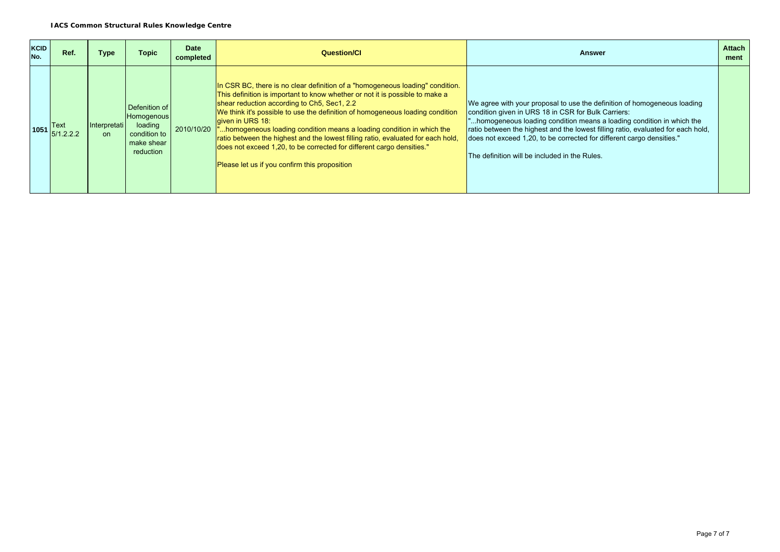| <b>KCID</b><br>No. | Ref.              | Type               | <b>Topic</b>                                                                      | <b>Date</b><br>completed | <b>Question/Cl</b>                                                                                                                                                                                                                                                                                                                                                                                                                                                                                                                                                                                      | Answer                                                                                                                                                                                                                                                                                                                                                                                                                | <b>Attach</b><br>ment |
|--------------------|-------------------|--------------------|-----------------------------------------------------------------------------------|--------------------------|---------------------------------------------------------------------------------------------------------------------------------------------------------------------------------------------------------------------------------------------------------------------------------------------------------------------------------------------------------------------------------------------------------------------------------------------------------------------------------------------------------------------------------------------------------------------------------------------------------|-----------------------------------------------------------------------------------------------------------------------------------------------------------------------------------------------------------------------------------------------------------------------------------------------------------------------------------------------------------------------------------------------------------------------|-----------------------|
| 1051               | Text<br>5/1.2.2.2 | Interpretati<br>on | Defenition of<br>Homogenous<br>loading<br>condition to<br>make shear<br>reduction | 2010/10/20               | In CSR BC, there is no clear definition of a "homogeneous loading" condition.<br>This definition is important to know whether or not it is possible to make a<br>shear reduction according to Ch5, Sec1, 2.2<br>We think it's possible to use the definition of homogeneous loading condition<br>given in URS 18:<br>homogeneous loading condition means a loading condition in which the<br>ratio between the highest and the lowest filling ratio, evaluated for each hold,<br>does not exceed 1,20, to be corrected for different cargo densities."<br>Please let us if you confirm this proposition | We agree with your proposal to use the definition of homogeneous loading<br>condition given in URS 18 in CSR for Bulk Carriers:<br>homogeneous loading condition means a loading condition in which the<br>ratio between the highest and the lowest filling ratio, evaluated for each hold,<br>does not exceed 1,20, to be corrected for different cargo densities."<br>The definition will be included in the Rules. |                       |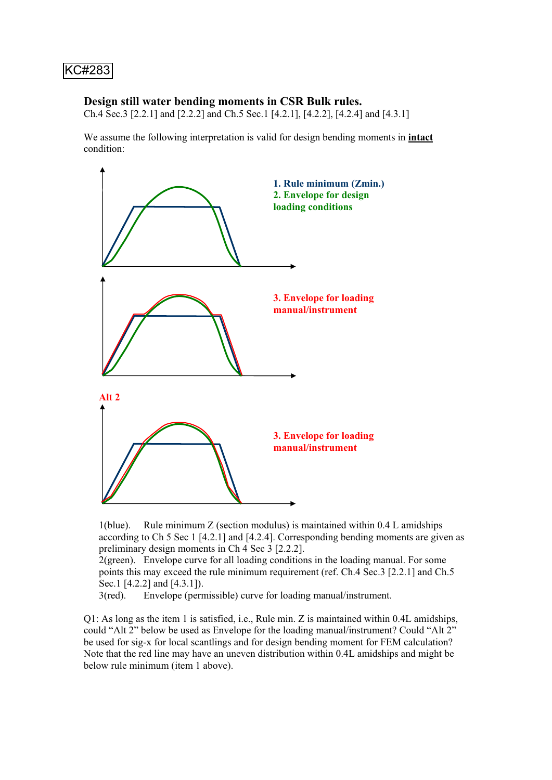### **Design still water bending moments in CSR Bulk rules.**

Ch.4 Sec.3 [2.2.1] and [2.2.2] and Ch.5 Sec.1 [4.2.1], [4.2.2], [4.2.4] and [4.3.1]

We assume the following interpretation is valid for design bending moments in **intact** condition:



1(blue). Rule minimum Z (section modulus) is maintained within  $0.4$  L amidships according to Ch 5 Sec 1 [4.2.1] and [4.2.4]. Corresponding bending moments are given as preliminary design moments in Ch 4 Sec 3 [2.2.2].

2(green). Envelope curve for all loading conditions in the loading manual. For some points this may exceed the rule minimum requirement (ref. Ch.4 Sec.3 [2.2.1] and Ch.5 Sec.1 [4.2.2] and [4.3.1]).

3(red). Envelope (permissible) curve for loading manual/instrument.

Q1: As long as the item 1 is satisfied, i.e., Rule min. Z is maintained within 0.4L amidships, could "Alt 2" below be used as Envelope for the loading manual/instrument? Could "Alt 2" be used for sig-x for local scantlings and for design bending moment for FEM calculation? Note that the red line may have an uneven distribution within 0.4L amidships and might be below rule minimum (item 1 above).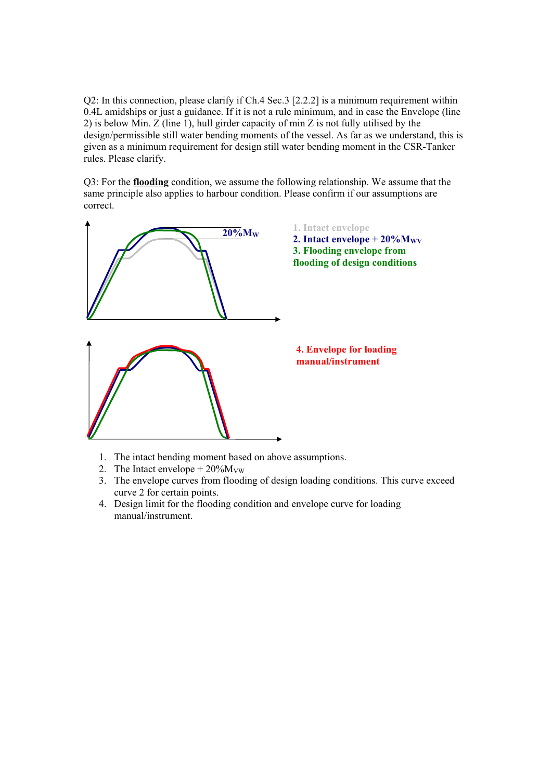Q2: In this connection, please clarify if Ch.4 Sec.3 [2.2.2] is a minimum requirement within 0.4L amidships or just a guidance. If it is not a rule minimum, and in case the Envelope (line 2) is below Min. Z (line 1), hull girder capacity of min Z is not fully utilised by the design/permissible still water bending moments of the vessel. As far as we understand, this is given as a minimum requirement for design still water bending moment in the CSR-Tanker rules. Please clarify.

Q3: For the **flooding** condition, we assume the following relationship. We assume that the same principle also applies to harbour condition. Please confirm if our assumptions are correct.



- 1. The intact bending moment based on above assumptions.
- 2. The Intact envelope  $+20\%M_{\text{VW}}$
- 3. The envelope curves from flooding of design loading conditions. This curve exceed curve 2 for certain points.
- 4. Design limit for the flooding condition and envelope curve for loading manual/instrument.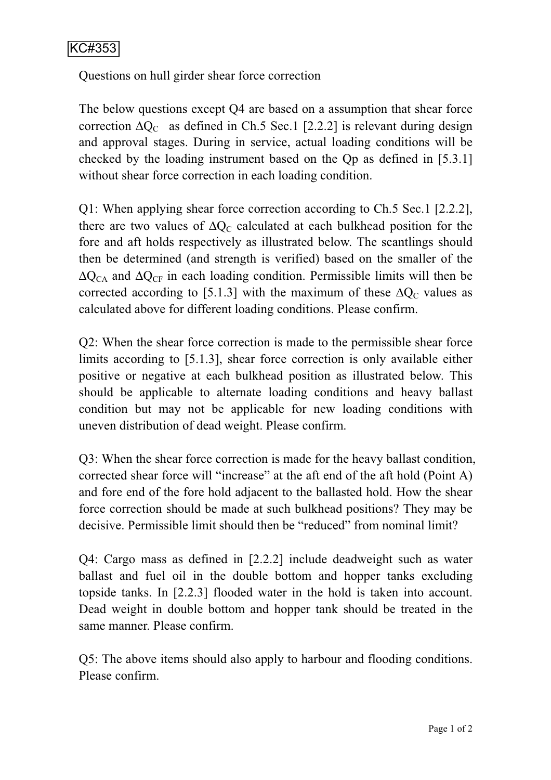Questions on hull girder shear force correction

The below questions except Q4 are based on a assumption that shear force correction  $\Delta Q_C$  as defined in Ch.5 Sec.1 [2.2.2] is relevant during design and approval stages. During in service, actual loading conditions will be checked by the loading instrument based on the Qp as defined in [5.3.1] without shear force correction in each loading condition.

Q1: When applying shear force correction according to Ch.5 Sec.1 [2.2.2], there are two values of  $\Delta Q_C$  calculated at each bulkhead position for the fore and aft holds respectively as illustrated below. The scantlings should then be determined (and strength is verified) based on the smaller of the  $\Delta Q_{CA}$  and  $\Delta Q_{CF}$  in each loading condition. Permissible limits will then be corrected according to [5.1.3] with the maximum of these  $\Delta Q_C$  values as calculated above for different loading conditions. Please confirm.

Q2: When the shear force correction is made to the permissible shear force limits according to [5.1.3], shear force correction is only available either positive or negative at each bulkhead position as illustrated below. This should be applicable to alternate loading conditions and heavy ballast condition but may not be applicable for new loading conditions with uneven distribution of dead weight. Please confirm.

Q3: When the shear force correction is made for the heavy ballast condition, corrected shear force will "increase" at the aft end of the aft hold (Point A) and fore end of the fore hold adjacent to the ballasted hold. How the shear force correction should be made at such bulkhead positions? They may be decisive. Permissible limit should then be "reduced" from nominal limit?

Q4: Cargo mass as defined in [2.2.2] include deadweight such as water ballast and fuel oil in the double bottom and hopper tanks excluding topside tanks. In [2.2.3] flooded water in the hold is taken into account. Dead weight in double bottom and hopper tank should be treated in the same manner. Please confirm.

Q5: The above items should also apply to harbour and flooding conditions. Please confirm.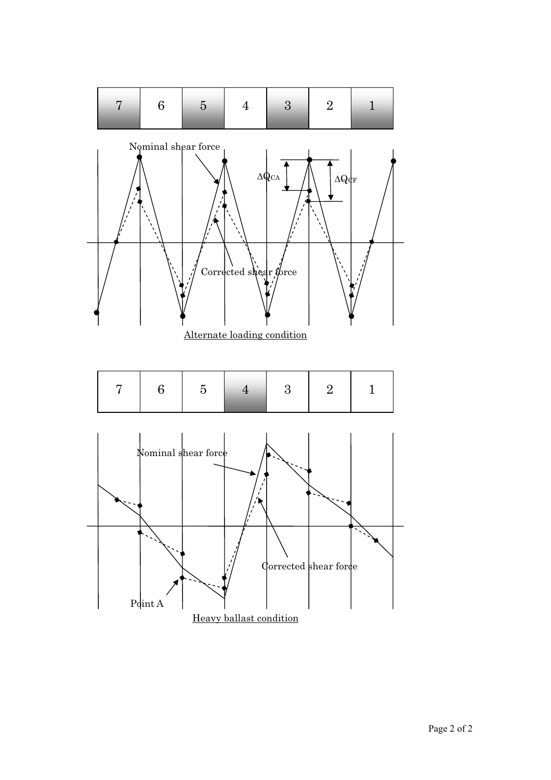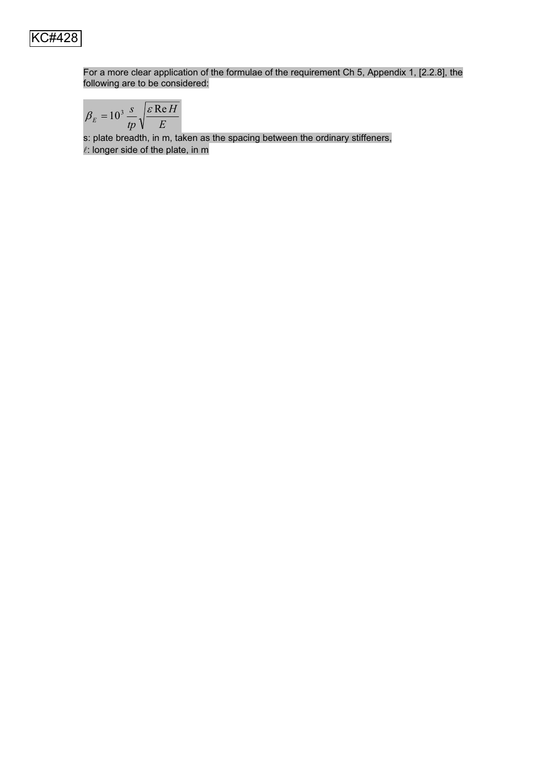

For a more clear application of the formulae of the requirement Ch 5, Appendix 1, [2.2.8], the following are to be considered:

$$
\beta_E = 10^3 \frac{s}{tp} \sqrt{\frac{\varepsilon \text{Re } H}{E}}
$$

s: plate breadth, in m, taken as the spacing between the ordinary stiffeners,  $\ell$ : longer side of the plate, in m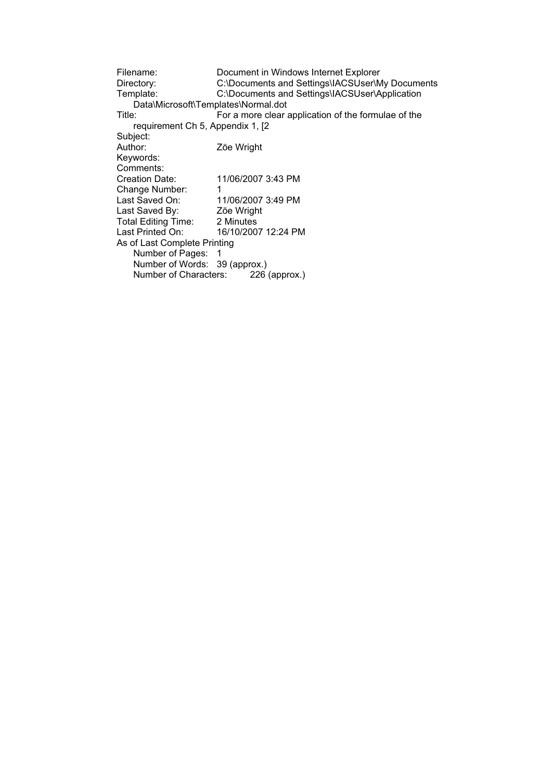Filename: Document in Windows Internet Explorer<br>Directory: C:\Documents and Settings\IACSUser\M C:\Documents and Settings\IACSUser\My Documents Template: C:\Documents and Settings\IACSUser\Application Data\Microsoft\Templates\Normal.dot<br>Title: For a more clear a For a more clear application of the formulae of the requirement Ch 5, Appendix 1, [2 Subject:<br>Author: Zöe Wright Keywords: Comments:<br>Creation Date: Creation Date: 11/06/2007 3:43 PM Change Number: 1<br>Last Saved On: 1 11/06/2007 3:49 PM<br>Zöe Wright Last Saved By: Zöe Wright<br>Total Editing Time: 2 Minutes Total Editing Time:<br>Last Printed On: 16/10/2007 12:24 PM As of Last Complete Printing Number of Pages: 1 Number of Words: 39 (approx.) Number of Characters: 226 (approx.)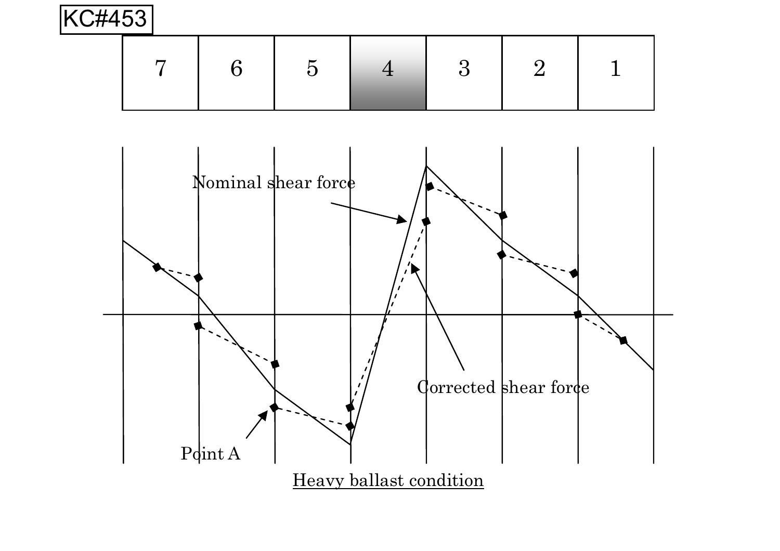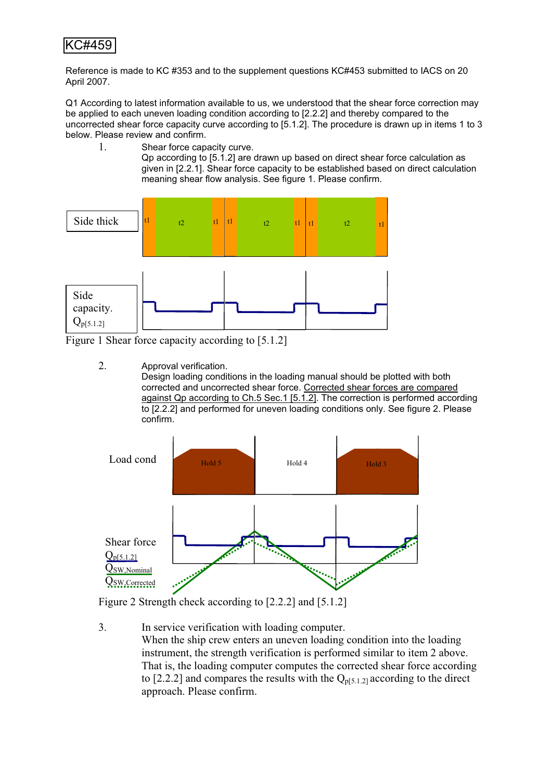Reference is made to KC #353 and to the supplement questions KC#453 submitted to IACS on 20 April 2007.

Q1 According to latest information available to us, we understood that the shear force correction may be applied to each uneven loading condition according to [2.2.2] and thereby compared to the uncorrected shear force capacity curve according to [5.1.2]. The procedure is drawn up in items 1 to 3 below. Please review and confirm.

1. Shear force capacity curve.

Qp according to [5.1.2] are drawn up based on direct shear force calculation as given in [2.2.1]. Shear force capacity to be established based on direct calculation meaning shear flow analysis. See figure 1. Please confirm.



Figure 1 Shear force capacity according to [5.1.2]

2. Approval verification.

Design loading conditions in the loading manual should be plotted with both corrected and uncorrected shear force. Corrected shear forces are compared against Qp according to Ch.5 Sec.1 [5.1.2]. The correction is performed according to [2.2.2] and performed for uneven loading conditions only. See figure 2. Please confirm.



Figure 2 Strength check according to [2.2.2] and [5.1.2]

3. In service verification with loading computer. When the ship crew enters an uneven loading condition into the loading instrument, the strength verification is performed similar to item 2 above. That is, the loading computer computes the corrected shear force according to [2.2.2] and compares the results with the  $Q_{p[5,1.2]}$  according to the direct approach. Please confirm.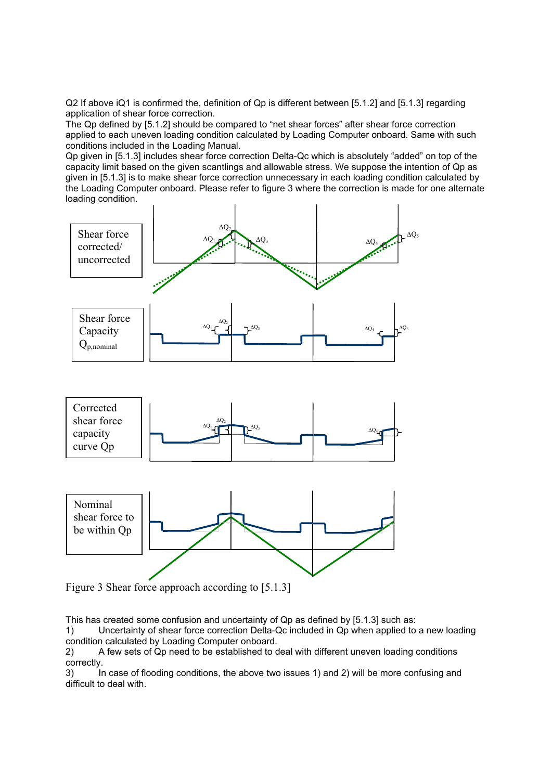Q2 If above iQ1 is confirmed the, definition of Qp is different between [5.1.2] and [5.1.3] regarding application of shear force correction.

The Qp defined by [5.1.2] should be compared to "net shear forces" after shear force correction applied to each uneven loading condition calculated by Loading Computer onboard. Same with such conditions included in the Loading Manual.

Qp given in [5.1.3] includes shear force correction Delta-Qc which is absolutely "added" on top of the capacity limit based on the given scantlings and allowable stress. We suppose the intention of Qp as given in [5.1.3] is to make shear force correction unnecessary in each loading condition calculated by the Loading Computer onboard. Please refer to figure 3 where the correction is made for one alternate loading condition.



Figure 3 Shear force approach according to [5.1.3]

This has created some confusion and uncertainty of Qp as defined by [5.1.3] such as:

1) Uncertainty of shear force correction Delta-Qc included in Qp when applied to a new loading condition calculated by Loading Computer onboard.

2) A few sets of Qp need to be established to deal with different uneven loading conditions correctly.

3) In case of flooding conditions, the above two issues 1) and 2) will be more confusing and difficult to deal with.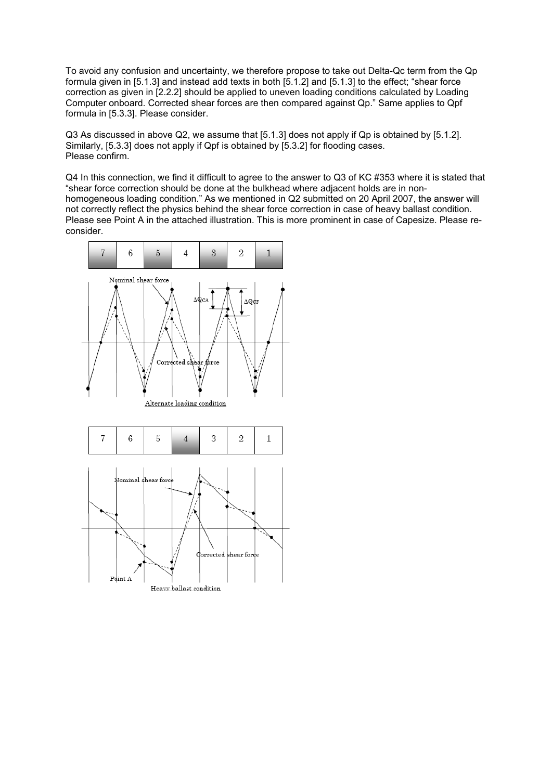To avoid any confusion and uncertainty, we therefore propose to take out Delta-Qc term from the Qp formula given in [5.1.3] and instead add texts in both [5.1.2] and [5.1.3] to the effect; "shear force correction as given in [2.2.2] should be applied to uneven loading conditions calculated by Loading Computer onboard. Corrected shear forces are then compared against Qp." Same applies to Qpf formula in [5.3.3]. Please consider.

Q3 As discussed in above Q2, we assume that [5.1.3] does not apply if Qp is obtained by [5.1.2]. Similarly, [5.3.3] does not apply if Qpf is obtained by [5.3.2] for flooding cases. Please confirm.

Q4 In this connection, we find it difficult to agree to the answer to Q3 of KC #353 where it is stated that "shear force correction should be done at the bulkhead where adjacent holds are in nonhomogeneous loading condition." As we mentioned in Q2 submitted on 20 April 2007, the answer will not correctly reflect the physics behind the shear force correction in case of heavy ballast condition. Please see Point A in the attached illustration. This is more prominent in case of Capesize. Please reconsider.

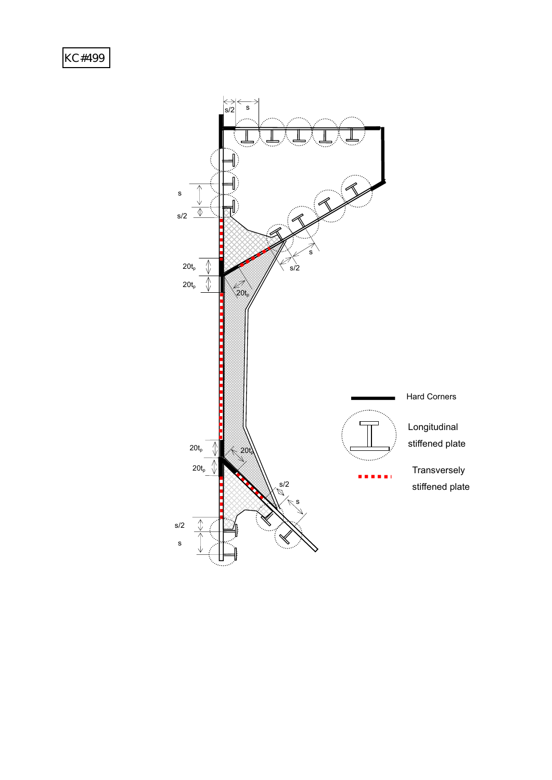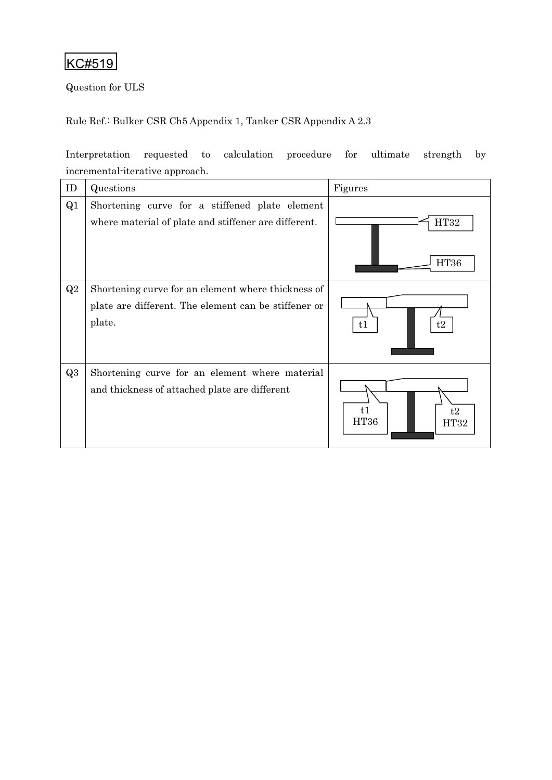Question for ULS

Rule Ref.: Bulker CSR Ch5 Appendix 1, Tanker CSR Appendix A 2.3

Interpretation requested to calculation procedure for ultimate strength by incremental-iterative approach.

| ID             | Questions                                                                                                            | Figures                  |
|----------------|----------------------------------------------------------------------------------------------------------------------|--------------------------|
| Q <sub>1</sub> | Shortening curve for a stiffened plate element<br>where material of plate and stiffener are different.               | HT32<br><b>HT36</b>      |
| Q2             | Shortening curve for an element where thickness of<br>plate are different. The element can be stiffener or<br>plate. | t1<br>t2                 |
| Q3             | Shortening curve for an element where material<br>and thickness of attached plate are different                      | t1<br>t2<br>HT36<br>HT32 |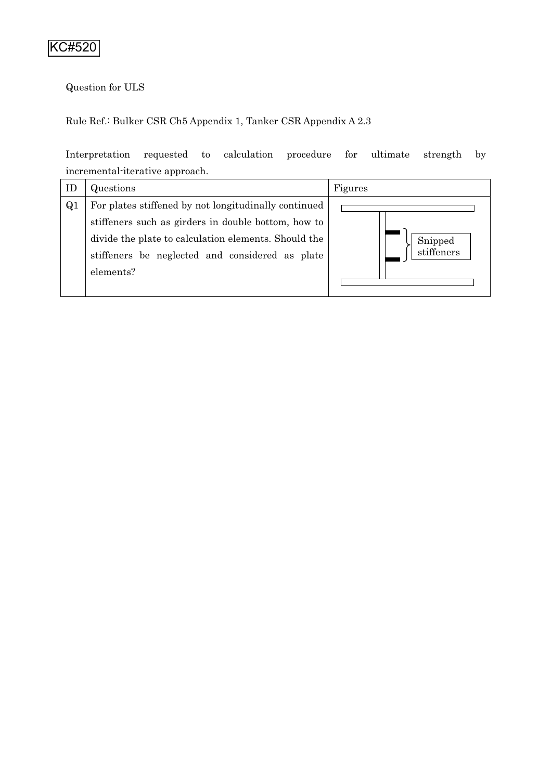# Question for ULS

### Rule Ref.: Bulker CSR Ch5 Appendix 1, Tanker CSR Appendix A 2.3

Interpretation requested to calculation procedure for ultimate strength by incremental-iterative approach.

| ID             | Questions                                            | Figures    |
|----------------|------------------------------------------------------|------------|
| Q <sub>1</sub> | For plates stiffened by not longitudinally continued |            |
|                | stiffeners such as girders in double bottom, how to  |            |
|                | divide the plate to calculation elements. Should the | Snipped    |
|                | stiffeners be neglected and considered as plate      | stiffeners |
|                | elements?                                            |            |
|                |                                                      |            |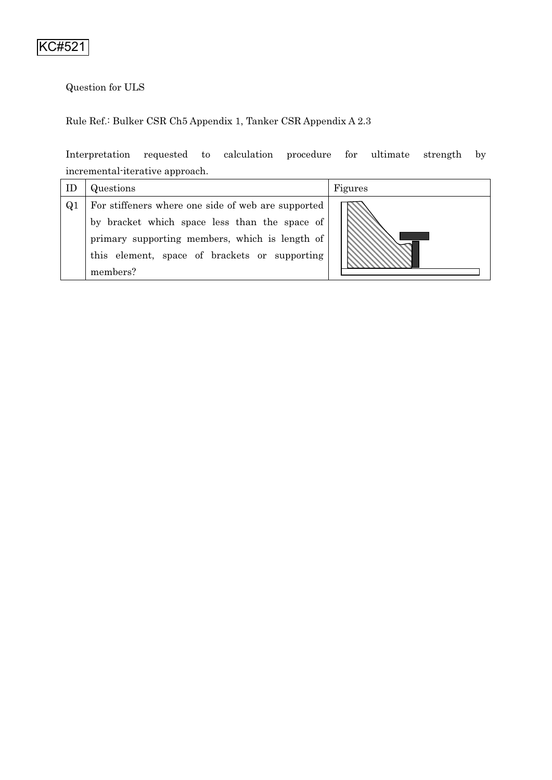# Question for ULS

### Rule Ref.: Bulker CSR Ch5 Appendix 1, Tanker CSR Appendix A 2.3

Interpretation requested to calculation procedure for ultimate strength by incremental-iterative approach.

| ID             | Questions                                          | Figures |  |
|----------------|----------------------------------------------------|---------|--|
| Q <sub>1</sub> | For stiffeners where one side of web are supported |         |  |
|                | by bracket which space less than the space of      |         |  |
|                | primary supporting members, which is length of     |         |  |
|                | this element, space of brackets or supporting      |         |  |
|                | members?                                           |         |  |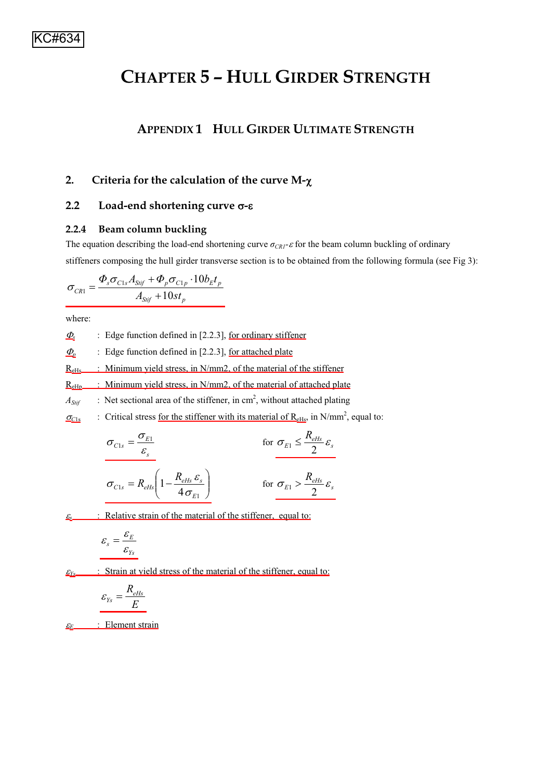# **CHAPTER 5–HULL GIRDER STRENGTH**

# **APPENDIX 1**- **HULL GIRDER ULTIMATE STRENGTH**

### 2. Criteria for the calculation of the curve M- $\chi$

### **2.2** Load-end shortening curve σ-ε

#### **2.2.4 Beam column buckling**

The equation describing the load-end shortening curve  $\sigma_{CR1}$ - $\varepsilon$  for the beam column buckling of ordinary stiffeners composing the hull girder transverse section is to be obtained from the following formula (see Fig 3):

$$
\sigma_{\text{CRI}} = \frac{\Phi_s \sigma_{\text{C1s}} A_{\text{Sijf}} + \Phi_p \sigma_{\text{C1p}} \cdot 10 b_{\text{E}t_p}}{A_{\text{Sijf}} + 10 s t_p}
$$

where:

 $\Phi$ <sub>s</sub> : Edge function defined in [2.2.3], <u>for ordinary stiffener</u>

 $\Phi$  : Edge function defined in [2.2.3], for attached plate

 $R_{\text{eHs}}$  : Minimum yield stress, in N/mm2, of the material of the stiffener

 $R<sub>eHb</sub>$  : Minimum yield stress, in N/mm2, of the material of attached plate

 $A_{\text{Sif}}$  : Net sectional area of the stiffener, in cm<sup>2</sup>, without attached plating

 $\sigma_{\text{C1s}}$  : Critical stress <u>for the stiffener with its material of R<sub>eHs</sub></u>, in N/mm<sup>2</sup>, equal to:

$$
\sigma_{C1s} = \frac{\sigma_{E1}}{\varepsilon_s}
$$
 for  $\sigma_{E1} \le \frac{R_{eHs}}{2} \varepsilon_s$   

$$
\sigma_{C1s} = R_{eHs} \left(1 - \frac{R_{eHs} \varepsilon_s}{4 \sigma_{E1}}\right)
$$
 for  $\sigma_{E1} > \frac{R_{eHs}}{2} \varepsilon_s$ 

 $\epsilon$  : Relative strain of the material of the stiffener, equal to:

$$
\varepsilon_{s} = \frac{\varepsilon_{E}}{\varepsilon_{Ys}}
$$

 $E_{Ys}$  : Strain at yield stress of the material of the stiffener, equal to:

$$
\varepsilon_{\scriptscriptstyle Ys} = \frac{R_{\scriptscriptstyle e\scriptscriptstyle HS}}{E}
$$

E<sub>E</sub> : Element strain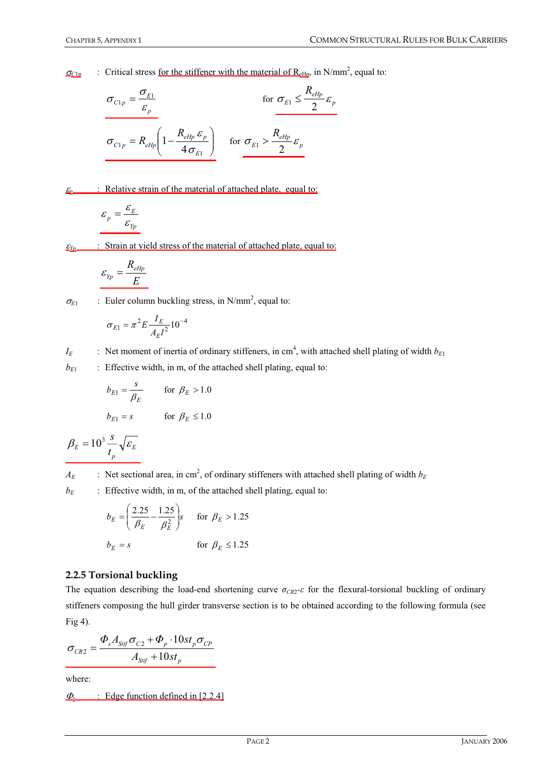$\sigma_{\text{Clp}}$  : Critical stress <u>for the stiffener with the material of R<sub>eHp</sub></u>, in N/mm<sup>2</sup>, equal to:

$$
\sigma_{C1p} = \frac{\sigma_{E1}}{\varepsilon_p}
$$
 for  $\sigma_{E1} \le \frac{R_{eHp}}{2} \varepsilon_p$   

$$
\sigma_{C1p} = R_{eHp} \left( 1 - \frac{R_{eHp} \varepsilon_p}{4 \sigma_{E1}} \right)
$$
 for  $\sigma_{E1} > \frac{R_{eHp}}{2} \varepsilon_p$ 

 $\mathcal{E}_n$  : Relative strain of the material of attached plate, equal to:

$$
\varepsilon_p = \frac{\varepsilon_E}{\varepsilon_{Yp}}
$$

 $E_{Yp}$  : Strain at yield stress of the material of attached plate, equal to:

$$
\varepsilon_{_{Yp}}=\frac{R_{_{eHp}}}{E}
$$

 $\sigma_{E1}$  : Euler column buckling stress, in N/mm<sup>2</sup>, equal to:

$$
\sigma_{E1} = \pi^2 E \frac{I_E}{A_E l^2} 10^{-4}
$$

*I<sub>E</sub>* : Net moment of inertia of ordinary stiffeners, in cm<sup>4</sup>, with attached shell plating of width  $b_{E1}$  $b_{E1}$  : Effective width, in m, of the attached shell plating, equal to:

$$
b_{E1} = \frac{s}{\beta_E} \qquad \text{for } \beta_E > 1.0
$$
  

$$
b_{E1} = s \qquad \text{for } \beta_E \le 1.0
$$

$$
\beta_E = 10^3 \frac{s}{t_p} \sqrt{\varepsilon_E}
$$

 $A_E$  : Net sectional area, in cm<sup>2</sup>, of ordinary stiffeners with attached shell plating of width  $b_E$ 

 $b_E$  : Effective width, in m, of the attached shell plating, equal to:

$$
b_E = \left(\frac{2.25}{\beta_E} - \frac{1.25}{\beta_E^2}\right)s \quad \text{for } \beta_E > 1.25
$$
  

$$
b_E = s \quad \text{for } \beta_E \le 1.25
$$

#### **2.2.5 Torsional buckling**

The equation describing the load-end shortening curve  $\sigma_{CR2}$ - $\epsilon$  for the flexural-torsional buckling of ordinary stiffeners composing the hull girder transverse section is to be obtained according to the following formula (see Fig 4).

$$
\sigma_{CR2} = \frac{\Phi_s A_{Sijf} \sigma_{C2} + \Phi_p \cdot 10st_p \sigma_{CP}}{A_{Sijf} + 10st_p}
$$

where:

 $\Phi$ <sub>s</sub> : Edge function defined in [2.2.4]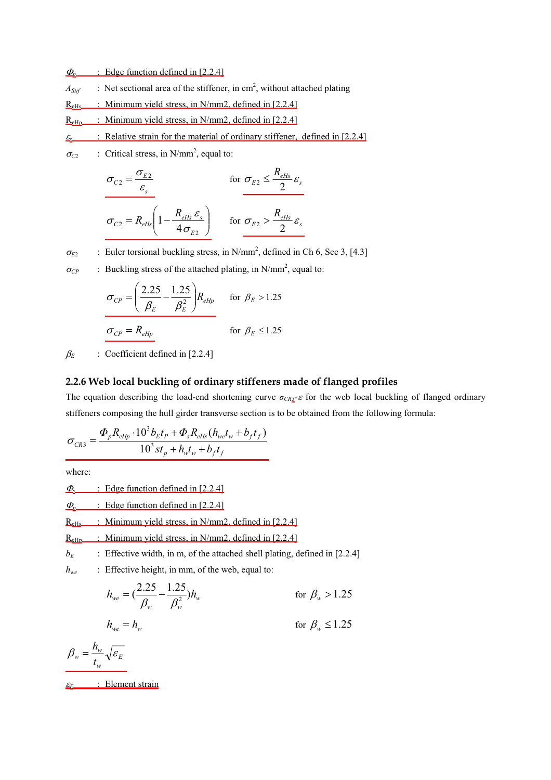$\Phi_{p}$  : Edge function defined in [2.2.4]

- $A_{Sif}$  : Net sectional area of the stiffener, in cm<sup>2</sup>, without attached plating
- $R_{\text{eHs}}$  : Minimum yield stress, in N/mm2, defined in [2.2.4]
- $R<sub>eHo</sub>$  : Minimum yield stress, in N/mm2, defined in [2.2.4]
- $\underline{\varepsilon}$  : Relative strain for the material of ordinary stiffener, defined in [2.2.4]
- $\sigma_{C2}$  : Critical stress, in N/mm<sup>2</sup>, equal to:

$$
\sigma_{C2} = \frac{\sigma_{E2}}{\varepsilon_s}
$$
 for  $\sigma_{E2} \le \frac{R_{eHs}}{2} \varepsilon_s$   

$$
\sigma_{C2} = R_{eHs} \left(1 - \frac{R_{eHs} \varepsilon_s}{4 \sigma_{E2}}\right)
$$
 for  $\sigma_{E2} > \frac{R_{eHs}}{2} \varepsilon_s$ 

 $\sigma_{E2}$  : Euler torsional buckling stress, in N/mm<sup>2</sup>, defined in Ch 6, Sec 3, [4.3]

 $\sigma_{CP}$  : Buckling stress of the attached plating, in N/mm<sup>2</sup>, equal to:

$$
\sigma_{CP} = \left(\frac{2.25}{\beta_E} - \frac{1.25}{\beta_E^2}\right) R_{eHp} \quad \text{for } \beta_E > 1.25
$$

$$
\sigma_{CP} = R_{eHp} \quad \text{for } \beta_E \le 1.25
$$

 $\beta_E$  : Coefficient defined in [2.2.4]

#### **2.2.6 Web local buckling of ordinary stiffeners made of flanged profiles**

The equation describing the load-end shortening curve  $\sigma_{CR2^-}\varepsilon$  for the web local buckling of flanged ordinary stiffeners composing the hull girder transverse section is to be obtained from the following formula:

$$
\sigma_{CR3} = \frac{\Phi_p R_{eHp} \cdot 10^3 b_E t_P + \Phi_s R_{eHs} (h_{we} t_w + b_f t_f)}{10^3 s t_p + h_w t_w + b_f t_f}
$$

where:

 $\Phi$ <sub>s</sub> : Edge function defined in [2.2.4]

 $\Phi_{p}$  : Edge function defined in [2.2.4]

 $R<sub>eHs</sub>$  : Minimum yield stress, in N/mm2, defined in [2.2.4]

 $R<sub>eHp</sub>$  : Minimum yield stress, in N/mm2, defined in [2.2.4]

 $b_E$  : Effective width, in m, of the attached shell plating, defined in [2.2.4]

*h<sub>we</sub>* : Effective height, in mm, of the web, equal to:

$$
h_{we} = \left(\frac{2.25}{\beta_w} - \frac{1.25}{\beta_w^2}\right)h_w
$$
 for  $\beta_w > 1.25$   

$$
h_{we} = h_w
$$
 for  $\beta_w \le 1.25$ 

$$
\beta_{w} = \frac{h_{w}}{t_{w}}\sqrt{\varepsilon_{E}}
$$

H*E* : Element strain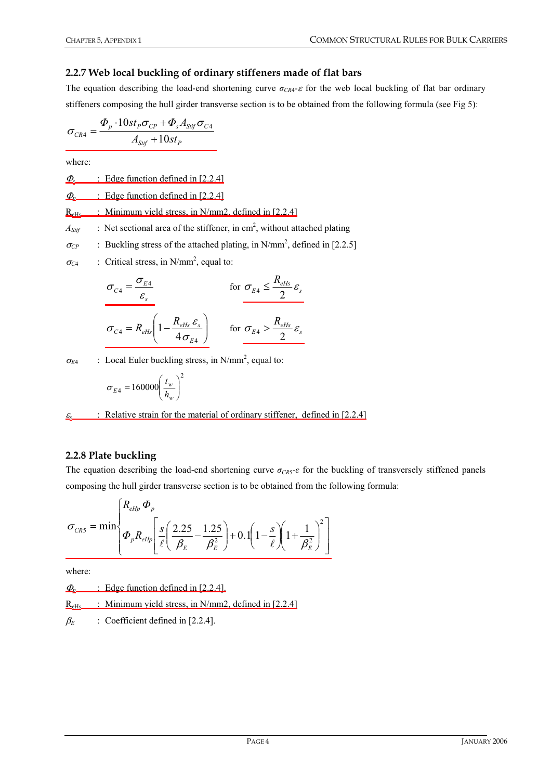### **2.2.7 Web local buckling of ordinary stiffeners made of flat bars**

The equation describing the load-end shortening curve  $\sigma_{CR4}$ - $\epsilon$  for the web local buckling of flat bar ordinary stiffeners composing the hull girder transverse section is to be obtained from the following formula (see Fig 5):

$$
\sigma_{\textit{CR4}}=\frac{\varPhi_{\textit{p}}\cdot 10st_{\textit{p}}\sigma_{\textit{CP}}+\varPhi_{\textit{s}}A_{\textit{Stif}}\sigma_{\textit{C4}}}{A_{\textit{Stif}}+10st_{\textit{p}}}
$$

where:

 $\Phi$ <sub>s</sub> : Edge function defined in [2.2.4]

 $\Phi_{p}$  : Edge function defined in [2.2.4]

 $R_{\text{eHs}}$  : Minimum yield stress, in N/mm2, defined in [2.2.4]

 $A_{\text{Sif}}$  : Net sectional area of the stiffener, in cm<sup>2</sup>, without attached plating

 $\sigma_{CP}$  : Buckling stress of the attached plating, in N/mm<sup>2</sup>, defined in [2.2.5]

 $\sigma_{C4}$  : Critical stress, in N/mm<sup>2</sup>, equal to:

$$
\sigma_{C4} = \frac{\sigma_{E4}}{\varepsilon_s}
$$
 for  $\sigma_{E4} \le \frac{R_{eHs}}{2} \varepsilon_s$   

$$
\sigma_{C4} = R_{eHs} \left(1 - \frac{R_{eHs} \varepsilon_s}{4 \sigma_{E4}}\right)
$$
 for  $\sigma_{E4} > \frac{R_{eHs}}{2} \varepsilon_s$ 

 $\sigma_{E4}$  : Local Euler buckling stress, in N/mm<sup>2</sup>, equal to:

$$
\sigma_{E4} = 160000 \left(\frac{t_w}{h_w}\right)^2
$$

 $\varepsilon$  : Relative strain for the material of ordinary stiffener, defined in [2.2.4]

#### **2.2.8 Plate buckling**

The equation describing the load-end shortening curve  $\sigma_{CR5}$ - $\varepsilon$  for the buckling of transversely stiffened panels composing the hull girder transverse section is to be obtained from the following formula:

$$
\sigma_{CR5} = \min \left\{ \frac{R_{eHp} \Phi_p}{\Phi_p R_{eHp} \left[ \frac{s}{\ell} \left( \frac{2.25}{\beta_E} - \frac{1.25}{\beta_E^2} \right) + 0.1 \left( 1 - \frac{s}{\ell} \right) \left( 1 + \frac{1}{\beta_E^2} \right)^2 \right] \right\}
$$

where:

 $\Phi$ <sub>p</sub>  $\therefore$  Edge function defined in [2.2.4].

 $R_{\text{eHs}}$  : Minimum yield stress, in N/mm2, defined in [2.2.4]

 $\beta_E$  : Coefficient defined in [2.2.4].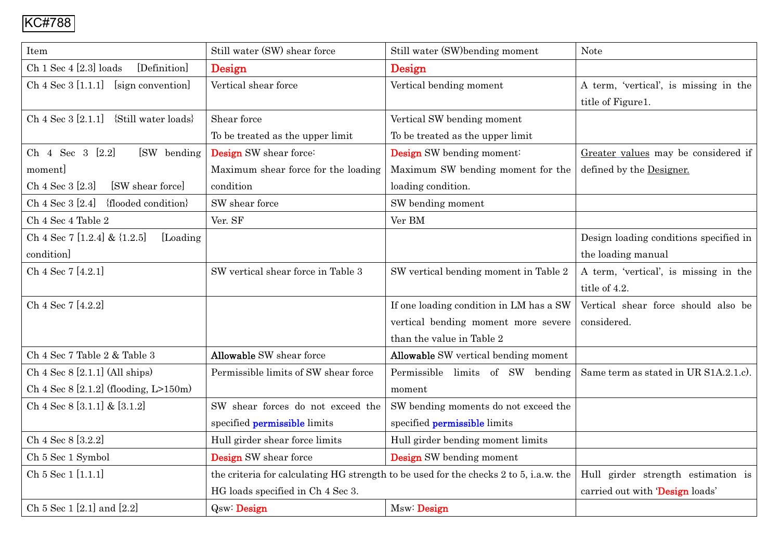| Item                                      | Still water (SW) shear force         | Still water (SW)bending moment                                                        | <b>Note</b>                            |
|-------------------------------------------|--------------------------------------|---------------------------------------------------------------------------------------|----------------------------------------|
| Ch 1 Sec 4 [2.3] loads<br>[Definition]    | Design                               | Design                                                                                |                                        |
| Ch 4 Sec 3 [1.1.1]<br>[sign convention]   | Vertical shear force                 | Vertical bending moment                                                               | A term, 'vertical', is missing in the  |
|                                           |                                      |                                                                                       | title of Figure1.                      |
| $Ch 4 Sec 3 [2.1.1]$ {Still water loads}  | Shear force                          | Vertical SW bending moment                                                            |                                        |
|                                           | To be treated as the upper limit     | To be treated as the upper limit                                                      |                                        |
| Ch 4 Sec 3 [2.2]<br>[SW bending           | <b>Design</b> SW shear force:        | Design SW bending moment:                                                             | Greater values may be considered if    |
| moment]                                   | Maximum shear force for the loading  | Maximum SW bending moment for the                                                     | defined by the Designer.               |
| Ch 4 Sec 3 [2.3]<br>[SW shear force]      | condition                            | loading condition.                                                                    |                                        |
| Ch 4 Sec 3 [2.4]<br>{flooded condition}   | SW shear force                       | SW bending moment                                                                     |                                        |
| Ch 4 Sec 4 Table 2                        | Ver. SF                              | Ver BM                                                                                |                                        |
| Ch 4 Sec 7 [1.2.4] & {1.2.5]<br>[Loading] |                                      |                                                                                       | Design loading conditions specified in |
| condition]                                |                                      |                                                                                       | the loading manual                     |
| Ch 4 Sec 7 [4.2.1]                        | SW vertical shear force in Table 3   | SW vertical bending moment in Table 2                                                 | A term, 'vertical', is missing in the  |
|                                           |                                      |                                                                                       | title of 4.2.                          |
| Ch 4 Sec 7 [4.2.2]                        |                                      | If one loading condition in LM has a SW                                               | Vertical shear force should also be    |
|                                           |                                      | vertical bending moment more severe                                                   | considered.                            |
|                                           |                                      | than the value in Table 2                                                             |                                        |
| Ch 4 Sec 7 Table 2 & Table 3              | <b>Allowable SW</b> shear force      | <b>Allowable</b> SW vertical bending moment                                           |                                        |
| Ch $4$ Sec $8$ [2.1.1] (All ships)        | Permissible limits of SW shear force | Permissible limits of SW bending                                                      | Same term as stated in UR S1A.2.1.c).  |
| Ch 4 Sec $8$ [2.1.2] (flooding, L>150m)   |                                      | moment                                                                                |                                        |
| Ch 4 Sec 8 [3.1.1] & [3.1.2]              | SW shear forces do not exceed the    | SW bending moments do not exceed the                                                  |                                        |
|                                           | specified <b>permissible</b> limits  | specified <b>permissible</b> limits                                                   |                                        |
| Ch 4 Sec 8 [3.2.2]                        | Hull girder shear force limits       | Hull girder bending moment limits                                                     |                                        |
| Ch 5 Sec 1 Symbol                         | <b>Design</b> SW shear force         | <b>Design</b> SW bending moment                                                       |                                        |
| Ch 5 Sec 1 [1.1.1]                        |                                      | the criteria for calculating HG strength to be used for the checks 2 to 5, i.a.w. the | Hull girder strength estimation is     |
|                                           | HG loads specified in Ch 4 Sec 3.    |                                                                                       | carried out with 'Design loads'        |
| Ch 5 Sec 1 [2.1] and [2.2]                | <b>Qsw: Design</b>                   | Msw: Design                                                                           |                                        |